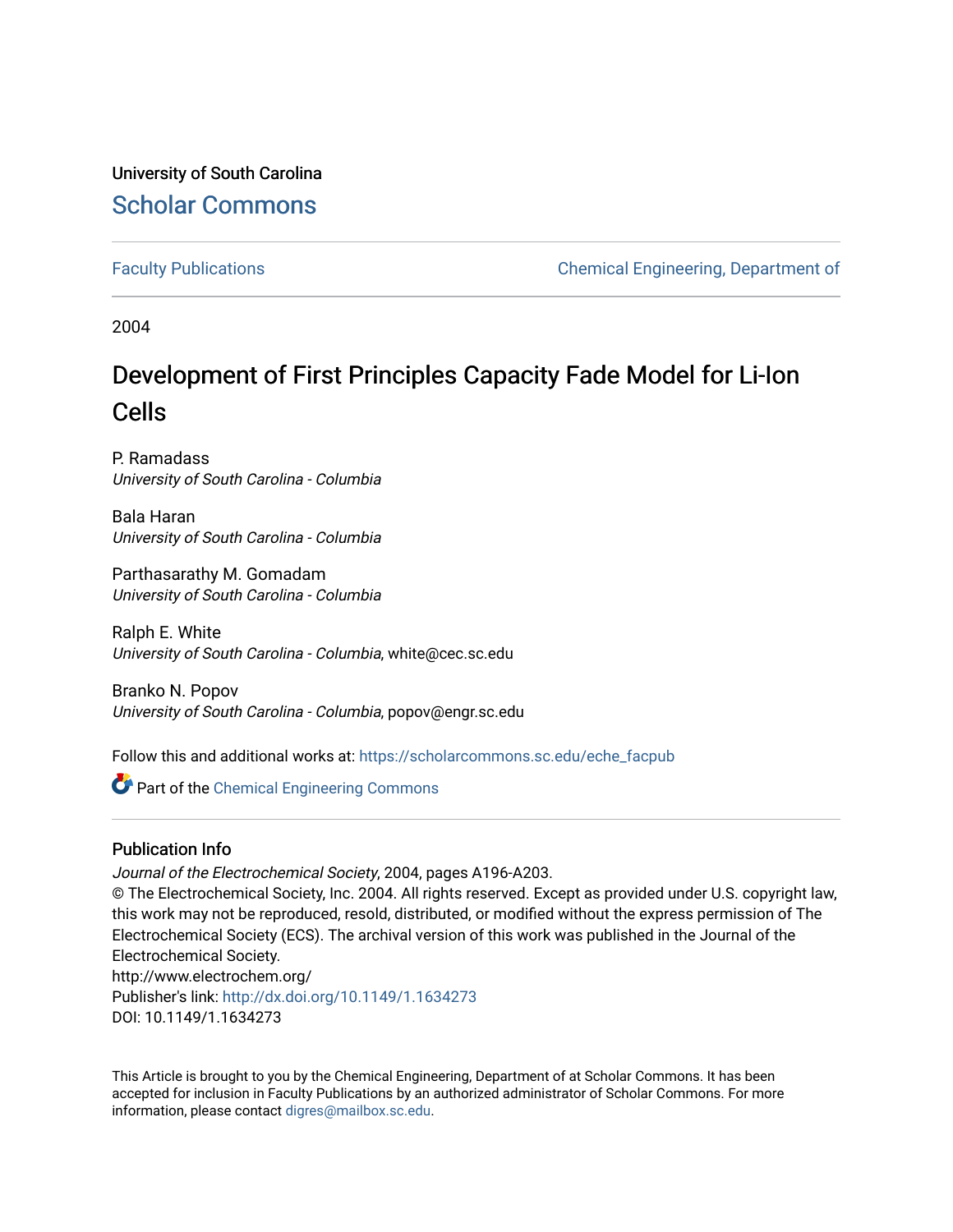University of South Carolina [Scholar Commons](https://scholarcommons.sc.edu/) 

[Faculty Publications](https://scholarcommons.sc.edu/eche_facpub) [Chemical Engineering, Department of](https://scholarcommons.sc.edu/eche) 

2004

# Development of First Principles Capacity Fade Model for Li-Ion Cells

P. Ramadass University of South Carolina - Columbia

Bala Haran University of South Carolina - Columbia

Parthasarathy M. Gomadam University of South Carolina - Columbia

Ralph E. White University of South Carolina - Columbia, white@cec.sc.edu

Branko N. Popov University of South Carolina - Columbia, popov@engr.sc.edu

Follow this and additional works at: [https://scholarcommons.sc.edu/eche\\_facpub](https://scholarcommons.sc.edu/eche_facpub?utm_source=scholarcommons.sc.edu%2Feche_facpub%2F162&utm_medium=PDF&utm_campaign=PDFCoverPages) 

Part of the [Chemical Engineering Commons](http://network.bepress.com/hgg/discipline/240?utm_source=scholarcommons.sc.edu%2Feche_facpub%2F162&utm_medium=PDF&utm_campaign=PDFCoverPages)

# Publication Info

Journal of the Electrochemical Society, 2004, pages A196-A203.

© The Electrochemical Society, Inc. 2004. All rights reserved. Except as provided under U.S. copyright law, this work may not be reproduced, resold, distributed, or modified without the express permission of The Electrochemical Society (ECS). The archival version of this work was published in the Journal of the Electrochemical Society.

http://www.electrochem.org/ Publisher's link: [http://dx.doi.org/10.1149/1.1634273](http://dx.doi.org.pallas2.tcl.sc.edu/10.1149/1.1634273)  DOI: 10.1149/1.1634273

This Article is brought to you by the Chemical Engineering, Department of at Scholar Commons. It has been accepted for inclusion in Faculty Publications by an authorized administrator of Scholar Commons. For more information, please contact [digres@mailbox.sc.edu.](mailto:digres@mailbox.sc.edu)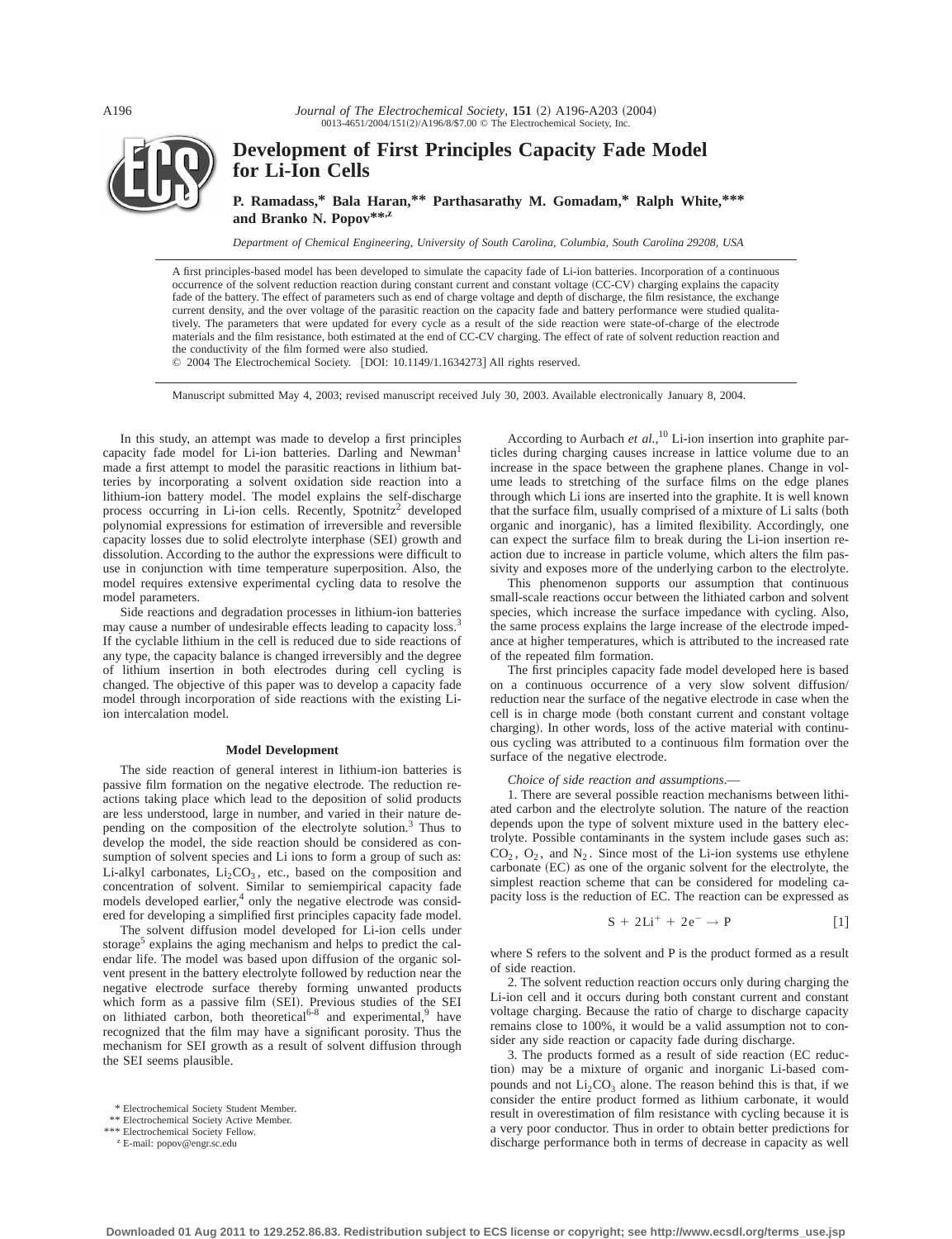*Journal of The Electrochemical Society*, 151 (2) A196-A203 (2004) 0013-4651/2004/151(2)/A196/8/\$7.00 © The Electrochemical Society, Inc.



# **Development of First Principles Capacity Fade Model for Li-Ion Cells**

**P. Ramadass,\* Bala Haran,\*\* Parthasarathy M. Gomadam,\* Ralph White,\*\*\* and Branko N. Popov\*\*,z**

*Department of Chemical Engineering, University of South Carolina, Columbia, South Carolina 29208, USA*

A first principles-based model has been developed to simulate the capacity fade of Li-ion batteries. Incorporation of a continuous occurrence of the solvent reduction reaction during constant current and constant voltage (CC-CV) charging explains the capacity fade of the battery. The effect of parameters such as end of charge voltage and depth of discharge, the film resistance, the exchange current density, and the over voltage of the parasitic reaction on the capacity fade and battery performance were studied qualitatively. The parameters that were updated for every cycle as a result of the side reaction were state-of-charge of the electrode materials and the film resistance, both estimated at the end of CC-CV charging. The effect of rate of solvent reduction reaction and the conductivity of the film formed were also studied.

© 2004 The Electrochemical Society. [DOI: 10.1149/1.1634273] All rights reserved.

Manuscript submitted May 4, 2003; revised manuscript received July 30, 2003. Available electronically January 8, 2004.

In this study, an attempt was made to develop a first principles capacity fade model for Li-ion batteries. Darling and Newman made a first attempt to model the parasitic reactions in lithium batteries by incorporating a solvent oxidation side reaction into a lithium-ion battery model. The model explains the self-discharge process occurring in Li-ion cells. Recently, Spotnitz<sup>2</sup> developed polynomial expressions for estimation of irreversible and reversible capacity losses due to solid electrolyte interphase (SEI) growth and dissolution. According to the author the expressions were difficult to use in conjunction with time temperature superposition. Also, the model requires extensive experimental cycling data to resolve the model parameters.

Side reactions and degradation processes in lithium-ion batteries may cause a number of undesirable effects leading to capacity loss.<sup>3</sup> If the cyclable lithium in the cell is reduced due to side reactions of any type, the capacity balance is changed irreversibly and the degree of lithium insertion in both electrodes during cell cycling is changed. The objective of this paper was to develop a capacity fade model through incorporation of side reactions with the existing Liion intercalation model.

# **Model Development**

The side reaction of general interest in lithium-ion batteries is passive film formation on the negative electrode. The reduction reactions taking place which lead to the deposition of solid products are less understood, large in number, and varied in their nature depending on the composition of the electrolyte solution.<sup>3</sup> Thus to develop the model, the side reaction should be considered as consumption of solvent species and Li ions to form a group of such as: Li-alkyl carbonates,  $Li_2CO_3$ , etc., based on the composition and concentration of solvent. Similar to semiempirical capacity fade models developed earlier,<sup>4</sup> only the negative electrode was considered for developing a simplified first principles capacity fade model.

The solvent diffusion model developed for Li-ion cells under storage<sup>5</sup> explains the aging mechanism and helps to predict the calendar life. The model was based upon diffusion of the organic solvent present in the battery electrolyte followed by reduction near the negative electrode surface thereby forming unwanted products which form as a passive film (SEI). Previous studies of the SEI on lithiated carbon, both theoretical<sup>6-8</sup> and experimental,<sup>9</sup> have recognized that the film may have a significant porosity. Thus the mechanism for SEI growth as a result of solvent diffusion through the SEI seems plausible.

\*\* Electrochemical Society Active Member. \*\*\* Electrochemical Society Fellow.

<sup>z</sup> E-mail: popov@engr.sc.edu

According to Aurbach *et al.*, <sup>10</sup> Li-ion insertion into graphite particles during charging causes increase in lattice volume due to an increase in the space between the graphene planes. Change in volume leads to stretching of the surface films on the edge planes through which Li ions are inserted into the graphite. It is well known that the surface film, usually comprised of a mixture of Li salts (both organic and inorganic), has a limited flexibility. Accordingly, one can expect the surface film to break during the Li-ion insertion reaction due to increase in particle volume, which alters the film passivity and exposes more of the underlying carbon to the electrolyte.

This phenomenon supports our assumption that continuous small-scale reactions occur between the lithiated carbon and solvent species, which increase the surface impedance with cycling. Also, the same process explains the large increase of the electrode impedance at higher temperatures, which is attributed to the increased rate of the repeated film formation.

The first principles capacity fade model developed here is based on a continuous occurrence of a very slow solvent diffusion/ reduction near the surface of the negative electrode in case when the cell is in charge mode (both constant current and constant voltage charging). In other words, loss of the active material with continuous cycling was attributed to a continuous film formation over the surface of the negative electrode.

#### *Choice of side reaction and assumptions*.—

1. There are several possible reaction mechanisms between lithiated carbon and the electrolyte solution. The nature of the reaction depends upon the type of solvent mixture used in the battery electrolyte. Possible contaminants in the system include gases such as:  $CO<sub>2</sub>$ ,  $O<sub>2</sub>$ , and  $N<sub>2</sub>$ . Since most of the Li-ion systems use ethylene carbonate (EC) as one of the organic solvent for the electrolyte, the simplest reaction scheme that can be considered for modeling capacity loss is the reduction of EC. The reaction can be expressed as

$$
S + 2Li^{+} + 2e^{-} \rightarrow P
$$
 [1]

where S refers to the solvent and P is the product formed as a result of side reaction.

2. The solvent reduction reaction occurs only during charging the Li-ion cell and it occurs during both constant current and constant voltage charging. Because the ratio of charge to discharge capacity remains close to 100%, it would be a valid assumption not to consider any side reaction or capacity fade during discharge.

3. The products formed as a result of side reaction (EC reduction) may be a mixture of organic and inorganic Li-based compounds and not  $Li<sub>2</sub>CO<sub>3</sub>$  alone. The reason behind this is that, if we consider the entire product formed as lithium carbonate, it would result in overestimation of film resistance with cycling because it is a very poor conductor. Thus in order to obtain better predictions for discharge performance both in terms of decrease in capacity as well

<sup>\*</sup> Electrochemical Society Student Member.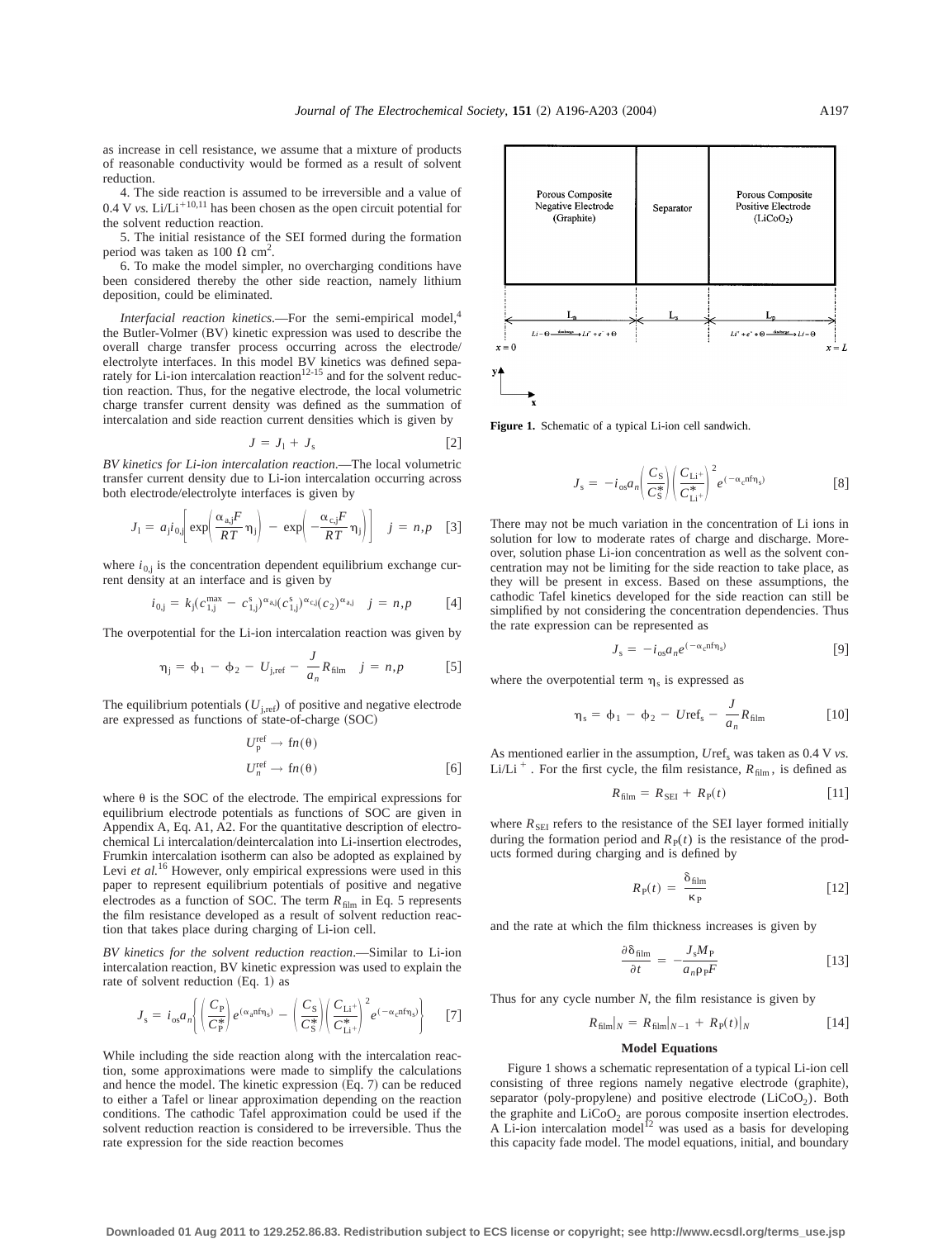as increase in cell resistance, we assume that a mixture of products of reasonable conductivity would be formed as a result of solvent reduction.

4. The side reaction is assumed to be irreversible and a value of 0.4 V *vs.* Li/Li<sup>+10,11</sup> has been chosen as the open circuit potential for the solvent reduction reaction.

5. The initial resistance of the SEI formed during the formation period was taken as 100  $\Omega$  cm<sup>2</sup>.

6. To make the model simpler, no overcharging conditions have been considered thereby the other side reaction, namely lithium deposition, could be eliminated.

*Interfacial reaction kinetics*.—For the semi-empirical model,<sup>4</sup> the Butler-Volmer  $(BV)$  kinetic expression was used to describe the overall charge transfer process occurring across the electrode/ electrolyte interfaces. In this model BV kinetics was defined separately for Li-ion intercalation reaction<sup>12-15</sup> and for the solvent reduction reaction. Thus, for the negative electrode, the local volumetric charge transfer current density was defined as the summation of intercalation and side reaction current densities which is given by

$$
J = J_1 + J_s \tag{2}
$$

*BV kinetics for Li-ion intercalation reaction*.—The local volumetric transfer current density due to Li-ion intercalation occurring across both electrode/electrolyte interfaces is given by

$$
J_1 = a_j i_{0,j} \bigg[ \exp\bigg( \frac{\alpha_{a,j} F}{RT} \eta_j \bigg) - \exp\bigg( -\frac{\alpha_{c,j} F}{RT} \eta_j \bigg) \bigg] \quad j = n, p \quad [3]
$$

where  $i_{0,i}$  is the concentration dependent equilibrium exchange current density at an interface and is given by

$$
i_{0,j} = k_j (c_{1,j}^{\max} - c_{1,j}^s)^{\alpha_{aj}} (c_{1,j}^s)^{\alpha_{cj}} (c_2)^{\alpha_{aj}} \quad j = n, p \quad [4]
$$

The overpotential for the Li-ion intercalation reaction was given by

$$
\eta_{j} = \phi_{1} - \phi_{2} - U_{j,ref} - \frac{J}{a_{n}} R_{film} \quad j = n, p \quad [5]
$$

The equilibrium potentials  $(U_{\text{i,ref}})$  of positive and negative electrode are expressed as functions of state-of-charge  $(SOC)$ 

$$
U_{\mathbf{p}}^{\text{ref}} \to \text{fn}(\theta)
$$
  

$$
U_{n}^{\text{ref}} \to \text{fn}(\theta)
$$
 [6]

where  $\theta$  is the SOC of the electrode. The empirical expressions for equilibrium electrode potentials as functions of SOC are given in Appendix A, Eq. A1, A2. For the quantitative description of electrochemical Li intercalation/deintercalation into Li-insertion electrodes, Frumkin intercalation isotherm can also be adopted as explained by Levi *et al.*<sup>16</sup> However, only empirical expressions were used in this paper to represent equilibrium potentials of positive and negative electrodes as a function of SOC. The term  $R_{\text{film}}$  in Eq. 5 represents the film resistance developed as a result of solvent reduction reaction that takes place during charging of Li-ion cell.

*BV kinetics for the solvent reduction reaction*.—Similar to Li-ion intercalation reaction, BV kinetic expression was used to explain the rate of solvent reduction  $(Eq. 1)$  as

$$
J_{\rm s} = i_{\rm os} a_n \left\{ \left( \frac{C_{\rm P}}{C_{\rm P}^*} \right) e^{(\alpha_{\rm a} n f \eta_{\rm s})} - \left( \frac{C_{\rm S}}{C_{\rm S}^*} \right) \left( \frac{C_{\rm Li^+}}{C_{\rm Li^+}^*} \right)^2 e^{(-\alpha_{\rm c} n f \eta_{\rm s})} \right\} \tag{7}
$$

While including the side reaction along with the intercalation reaction, some approximations were made to simplify the calculations and hence the model. The kinetic expression  $(Eq. 7)$  can be reduced to either a Tafel or linear approximation depending on the reaction conditions. The cathodic Tafel approximation could be used if the solvent reduction reaction is considered to be irreversible. Thus the rate expression for the side reaction becomes



**Figure 1.** Schematic of a typical Li-ion cell sandwich.

$$
J_{\rm s} = -i_{\rm os} a_n \left(\frac{C_{\rm S}}{C_{\rm S}^*}\right) \left(\frac{C_{\rm Li^+}}{C_{\rm Li^+}^*}\right)^2 e^{(-\alpha_{\rm c} n f \eta_{\rm s})} \tag{8}
$$

There may not be much variation in the concentration of Li ions in solution for low to moderate rates of charge and discharge. Moreover, solution phase Li-ion concentration as well as the solvent concentration may not be limiting for the side reaction to take place, as they will be present in excess. Based on these assumptions, the cathodic Tafel kinetics developed for the side reaction can still be simplified by not considering the concentration dependencies. Thus the rate expression can be represented as

$$
J_{\rm s} = -i_{\rm os} a_n e^{(-\alpha_{\rm c} n f \eta_{\rm s})} \tag{9}
$$

where the overpotential term  $\eta_s$  is expressed as

$$
\eta_{\rm s} = \phi_1 - \phi_2 - U \text{ref}_{\rm s} - \frac{J}{a_n} R_{\rm film} \tag{10}
$$

As mentioned earlier in the assumption,  $Uref_s$  was taken as 0.4 V *vs*. Li/Li<sup>+</sup>. For the first cycle, the film resistance,  $R_{\text{film}}$ , is defined as

$$
R_{\text{film}} = R_{\text{SEI}} + R_{\text{P}}(t) \tag{11}
$$

where  $R_{\text{SEI}}$  refers to the resistance of the SEI layer formed initially during the formation period and  $R<sub>P</sub>(t)$  is the resistance of the products formed during charging and is defined by

$$
R_{\rm p}(t) = \frac{\delta_{\rm film}}{\kappa_{\rm p}} \tag{12}
$$

and the rate at which the film thickness increases is given by

$$
\frac{\partial \delta_{\text{film}}}{\partial t} = -\frac{J_s M_P}{a_n \rho_P F} \tag{13}
$$

Thus for any cycle number *N*, the film resistance is given by

$$
R_{\text{film}}|_N = R_{\text{film}}|_{N-1} + R_{\text{P}}(t)|_N \tag{14}
$$

# **Model Equations**

Figure 1 shows a schematic representation of a typical Li-ion cell consisting of three regions namely negative electrode (graphite), separator (poly-propylene) and positive electrode ( $LiCoO<sub>2</sub>$ ). Both the graphite and  $LiCoO<sub>2</sub>$  are porous composite insertion electrodes. A Li-ion intercalation model<sup>12</sup> was used as a basis for developing this capacity fade model. The model equations, initial, and boundary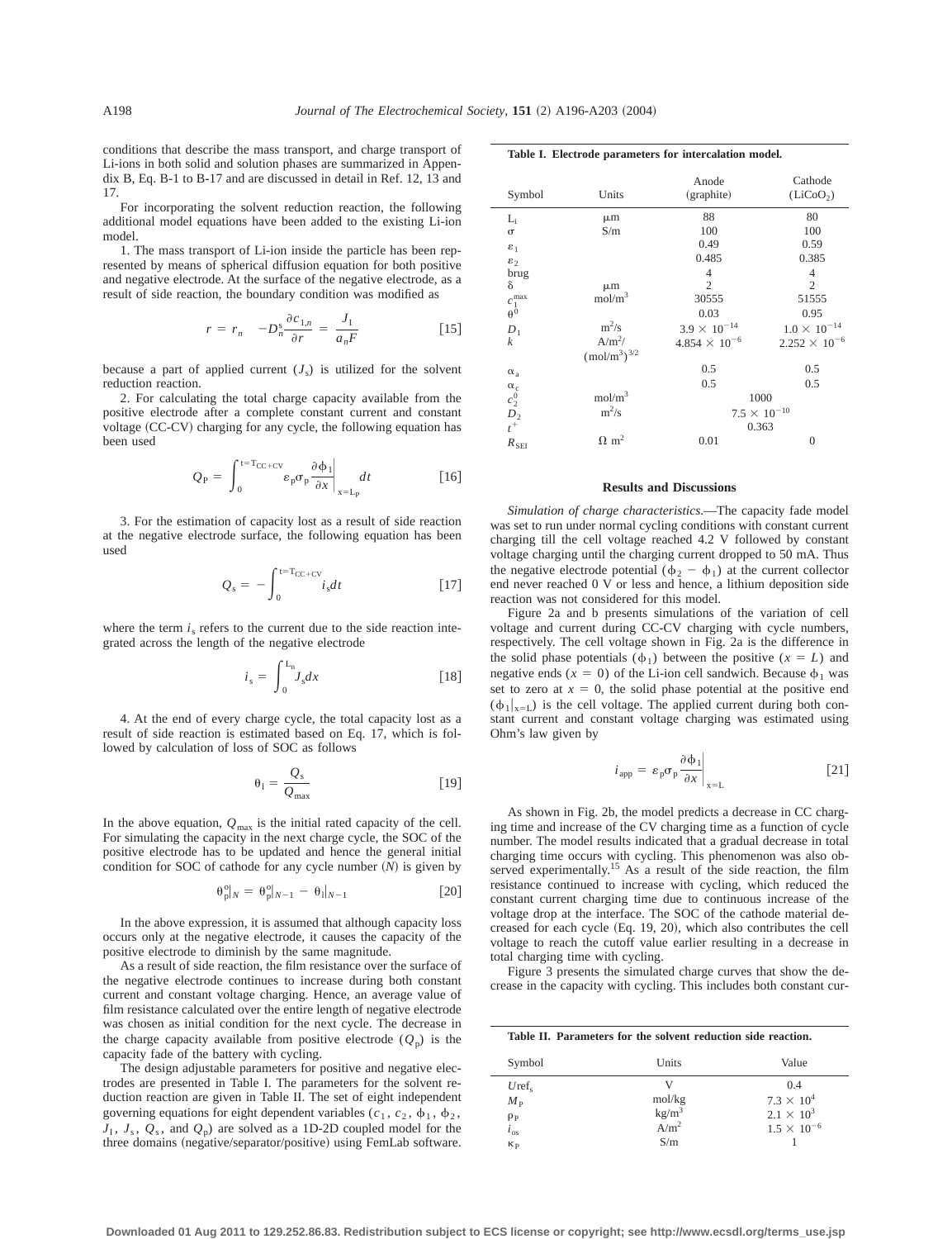conditions that describe the mass transport, and charge transport of Li-ions in both solid and solution phases are summarized in Appendix B, Eq. B-1 to B-17 and are discussed in detail in Ref. 12, 13 and 17.

For incorporating the solvent reduction reaction, the following additional model equations have been added to the existing Li-ion model.

1. The mass transport of Li-ion inside the particle has been represented by means of spherical diffusion equation for both positive and negative electrode. At the surface of the negative electrode, as a result of side reaction, the boundary condition was modified as

$$
r = r_n - D_n^s \frac{\partial c_{1,n}}{\partial r} = \frac{J_1}{a_n F} \tag{15}
$$

because a part of applied current  $(J_s)$  is utilized for the solvent reduction reaction.

2. For calculating the total charge capacity available from the positive electrode after a complete constant current and constant voltage (CC-CV) charging for any cycle, the following equation has been used

$$
Q_{\rm P} = \int_0^{\rm t=T_{CC+CV}} \varepsilon_{\rm p} \sigma_{\rm p} \frac{\partial \phi_1}{\partial x} \bigg|_{x=L_{\rm P}} dt \qquad [16]
$$

3. For the estimation of capacity lost as a result of side reaction at the negative electrode surface, the following equation has been used

$$
Q_{\rm s} = -\int_0^{\rm t=T_{CC+CV}} i_s dt \qquad [17]
$$

where the term  $i<sub>s</sub>$  refers to the current due to the side reaction integrated across the length of the negative electrode

$$
i_s = \int_0^{\mathcal{L}_n} J_s dx \tag{18}
$$

4. At the end of every charge cycle, the total capacity lost as a result of side reaction is estimated based on Eq. 17, which is followed by calculation of loss of SOC as follows

$$
\theta_1 = \frac{Q_s}{Q_{\text{max}}} \tag{19}
$$

In the above equation,  $Q_{\text{max}}$  is the initial rated capacity of the cell. For simulating the capacity in the next charge cycle, the SOC of the positive electrode has to be updated and hence the general initial condition for SOC of cathode for any cycle number  $(N)$  is given by

$$
\theta_{p|N}^{\circ} = \theta_{p|N-1}^{\circ} - \theta_1|_{N-1}
$$
 [20]

In the above expression, it is assumed that although capacity loss occurs only at the negative electrode, it causes the capacity of the positive electrode to diminish by the same magnitude.

As a result of side reaction, the film resistance over the surface of the negative electrode continues to increase during both constant current and constant voltage charging. Hence, an average value of film resistance calculated over the entire length of negative electrode was chosen as initial condition for the next cycle. The decrease in the charge capacity available from positive electrode  $(Q_p)$  is the capacity fade of the battery with cycling.

The design adjustable parameters for positive and negative electrodes are presented in Table I. The parameters for the solvent reduction reaction are given in Table II. The set of eight independent governing equations for eight dependent variables ( $c_1$ ,  $c_2$ ,  $\phi_1$ ,  $\phi_2$ ,  $J_1$ ,  $J_s$ ,  $Q_s$ , and  $Q_p$ ) are solved as a 1D-2D coupled model for the three domains (negative/separator/positive) using FemLab software.

|  |  |  |  | Table I. Electrode parameters for intercalation model. |  |
|--|--|--|--|--------------------------------------------------------|--|
|--|--|--|--|--------------------------------------------------------|--|

| Symbol                                                           | Units                                | Anode<br>(graphite)    | Cathode<br>(LiCoO <sub>2</sub> ) |
|------------------------------------------------------------------|--------------------------------------|------------------------|----------------------------------|
| $L_i$                                                            | $\mu$ m                              | 88                     | 80                               |
| $\sigma$                                                         | S/m                                  | 100                    | 100                              |
| $\varepsilon_1$                                                  |                                      | 0.49                   | 0.59                             |
| $\varepsilon_2$                                                  |                                      | 0.485                  | 0.385                            |
| brug                                                             |                                      | $\overline{4}$         | 4                                |
| δ                                                                | $\mu$ m                              | $\overline{2}$         | $\overline{2}$                   |
|                                                                  | mol/m <sup>3</sup>                   | 30555                  | 51555                            |
| $c_1^{\,\rm max} \atop \theta^{\,0}$                             |                                      | 0.03                   | 0.95                             |
| $D_1$                                                            | $m^2/s$                              | $3.9 \times 10^{-14}$  | $1.0 \times 10^{-14}$            |
| $\boldsymbol{k}$                                                 | $A/m^2/$                             | $4.854 \times 10^{-6}$ | $2.252 \times 10^{-6}$           |
|                                                                  | (mol/m <sup>3</sup> ) <sup>3/2</sup> |                        |                                  |
| $\alpha_a$                                                       |                                      | 0.5                    | 0.5                              |
|                                                                  |                                      | 0.5                    | 0.5                              |
| $\begin{smallmatrix} \alpha_c \\ c_2^0 \\ D_2 \end{smallmatrix}$ | mol/m <sup>3</sup>                   | 1000                   |                                  |
|                                                                  | $m^2/s$                              | $7.5 \times 10^{-10}$  |                                  |
| $t^+$                                                            |                                      | 0.363                  |                                  |
| $R_{\rm SEI}$                                                    | $\Omega$ m <sup>2</sup>              | 0.01                   | $\overline{0}$                   |

# **Results and Discussions**

*Simulation of charge characteristics*.—The capacity fade model was set to run under normal cycling conditions with constant current charging till the cell voltage reached 4.2 V followed by constant voltage charging until the charging current dropped to 50 mA. Thus the negative electrode potential ( $\phi_2 - \phi_1$ ) at the current collector end never reached 0 V or less and hence, a lithium deposition side reaction was not considered for this model.

Figure 2a and b presents simulations of the variation of cell voltage and current during CC-CV charging with cycle numbers, respectively. The cell voltage shown in Fig. 2a is the difference in the solid phase potentials  $(\phi_1)$  between the positive  $(x = L)$  and negative ends ( $x = 0$ ) of the Li-ion cell sandwich. Because  $\phi_1$  was set to zero at  $x = 0$ , the solid phase potential at the positive end  $(\phi_1|_{x=L})$  is the cell voltage. The applied current during both constant current and constant voltage charging was estimated using Ohm's law given by

. . . . 1

$$
i_{\rm app} = \left. \varepsilon_{\rm p} \sigma_{\rm p} \frac{\partial \Phi_1}{\partial x} \right|_{x=L} \tag{21}
$$

As shown in Fig. 2b, the model predicts a decrease in CC charging time and increase of the CV charging time as a function of cycle number. The model results indicated that a gradual decrease in total charging time occurs with cycling. This phenomenon was also observed experimentally.<sup>15</sup> As a result of the side reaction, the film resistance continued to increase with cycling, which reduced the constant current charging time due to continuous increase of the voltage drop at the interface. The SOC of the cathode material decreased for each cycle  $(Eq. 19, 20)$ , which also contributes the cell voltage to reach the cutoff value earlier resulting in a decrease in total charging time with cycling.

Figure 3 presents the simulated charge curves that show the decrease in the capacity with cycling. This includes both constant cur-

| Table II. Parameters for the solvent reduction side reaction. |  |  |  |  |  |  |
|---------------------------------------------------------------|--|--|--|--|--|--|
|---------------------------------------------------------------|--|--|--|--|--|--|

| Symbol         | Units             | Value                |
|----------------|-------------------|----------------------|
| $Uref_{\rm c}$ | V                 | 0.4                  |
| $M_{\rm p}$    | mol/kg            | $7.3 \times 10^{4}$  |
| $\rho_P$       | kg/m <sup>3</sup> | $2.1 \times 10^3$    |
| $i_{\rm os}$   | A/m <sup>2</sup>  | $1.5 \times 10^{-6}$ |
| $K_{\rm p}$    | S/m               |                      |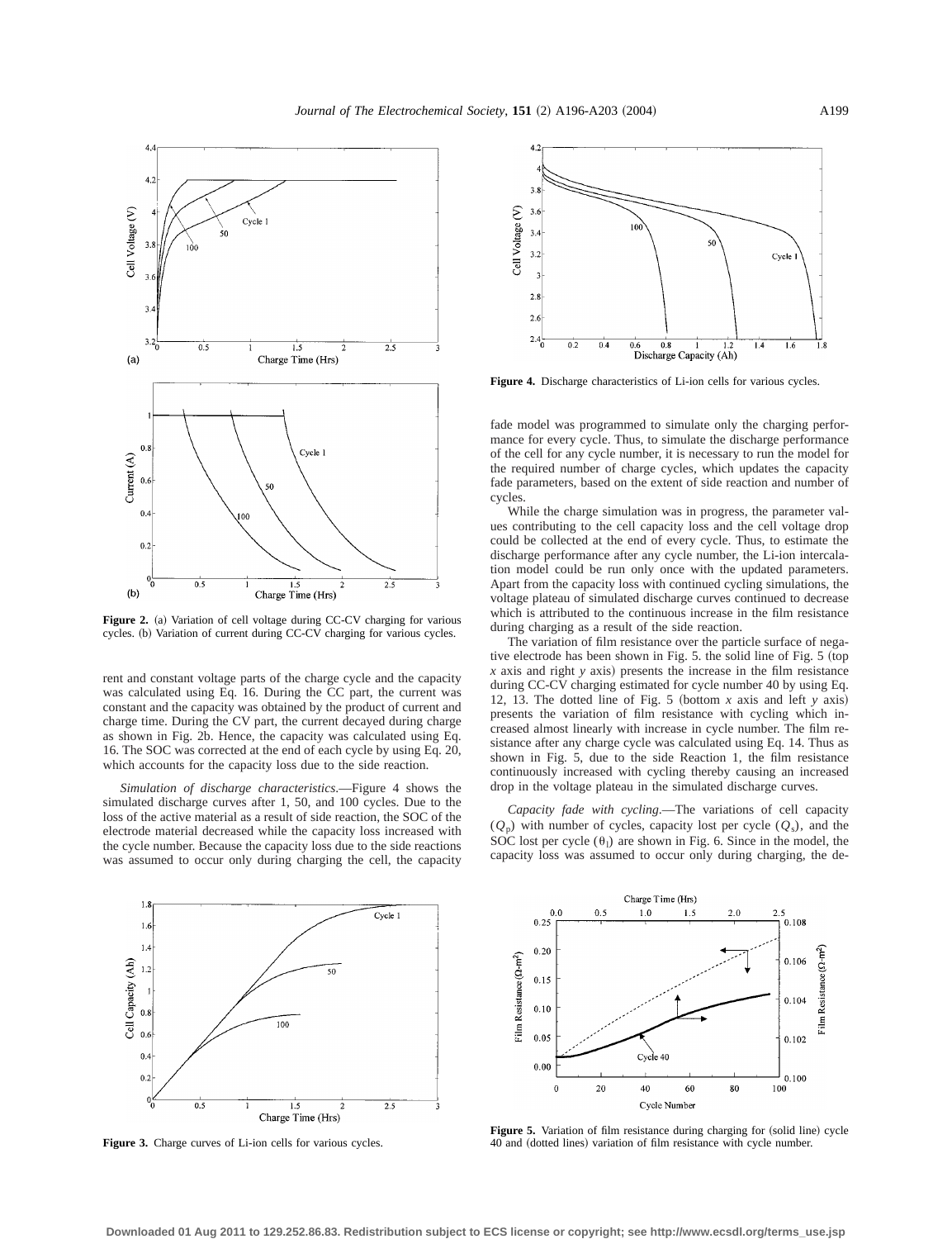

Figure 2. (a) Variation of cell voltage during CC-CV charging for various cycles. (b) Variation of current during CC-CV charging for various cycles.

rent and constant voltage parts of the charge cycle and the capacity was calculated using Eq. 16. During the CC part, the current was constant and the capacity was obtained by the product of current and charge time. During the CV part, the current decayed during charge as shown in Fig. 2b. Hence, the capacity was calculated using Eq. 16. The SOC was corrected at the end of each cycle by using Eq. 20, which accounts for the capacity loss due to the side reaction.

*Simulation of discharge characteristics*.—Figure 4 shows the simulated discharge curves after 1, 50, and 100 cycles. Due to the loss of the active material as a result of side reaction, the SOC of the electrode material decreased while the capacity loss increased with the cycle number. Because the capacity loss due to the side reactions was assumed to occur only during charging the cell, the capacity



**Figure 4.** Discharge characteristics of Li-ion cells for various cycles.

fade model was programmed to simulate only the charging performance for every cycle. Thus, to simulate the discharge performance of the cell for any cycle number, it is necessary to run the model for the required number of charge cycles, which updates the capacity fade parameters, based on the extent of side reaction and number of cycles.

While the charge simulation was in progress, the parameter values contributing to the cell capacity loss and the cell voltage drop could be collected at the end of every cycle. Thus, to estimate the discharge performance after any cycle number, the Li-ion intercalation model could be run only once with the updated parameters. Apart from the capacity loss with continued cycling simulations, the voltage plateau of simulated discharge curves continued to decrease which is attributed to the continuous increase in the film resistance during charging as a result of the side reaction.

The variation of film resistance over the particle surface of negative electrode has been shown in Fig. 5. the solid line of Fig. 5 (top *x* axis and right *y* axis) presents the increase in the film resistance during CC-CV charging estimated for cycle number 40 by using Eq. 12, 13. The dotted line of Fig. 5 (bottom  $x$  axis and left  $y$  axis) presents the variation of film resistance with cycling which increased almost linearly with increase in cycle number. The film resistance after any charge cycle was calculated using Eq. 14. Thus as shown in Fig. 5, due to the side Reaction 1, the film resistance continuously increased with cycling thereby causing an increased drop in the voltage plateau in the simulated discharge curves.

*Capacity fade with cycling*.—The variations of cell capacity  $(Q_p)$  with number of cycles, capacity lost per cycle  $(Q_s)$ , and the SOC lost per cycle  $(\theta_1)$  are shown in Fig. 6. Since in the model, the capacity loss was assumed to occur only during charging, the de-



**Figure 3.** Charge curves of Li-ion cells for various cycles.



Figure 5. Variation of film resistance during charging for (solid line) cycle 40 and (dotted lines) variation of film resistance with cycle number.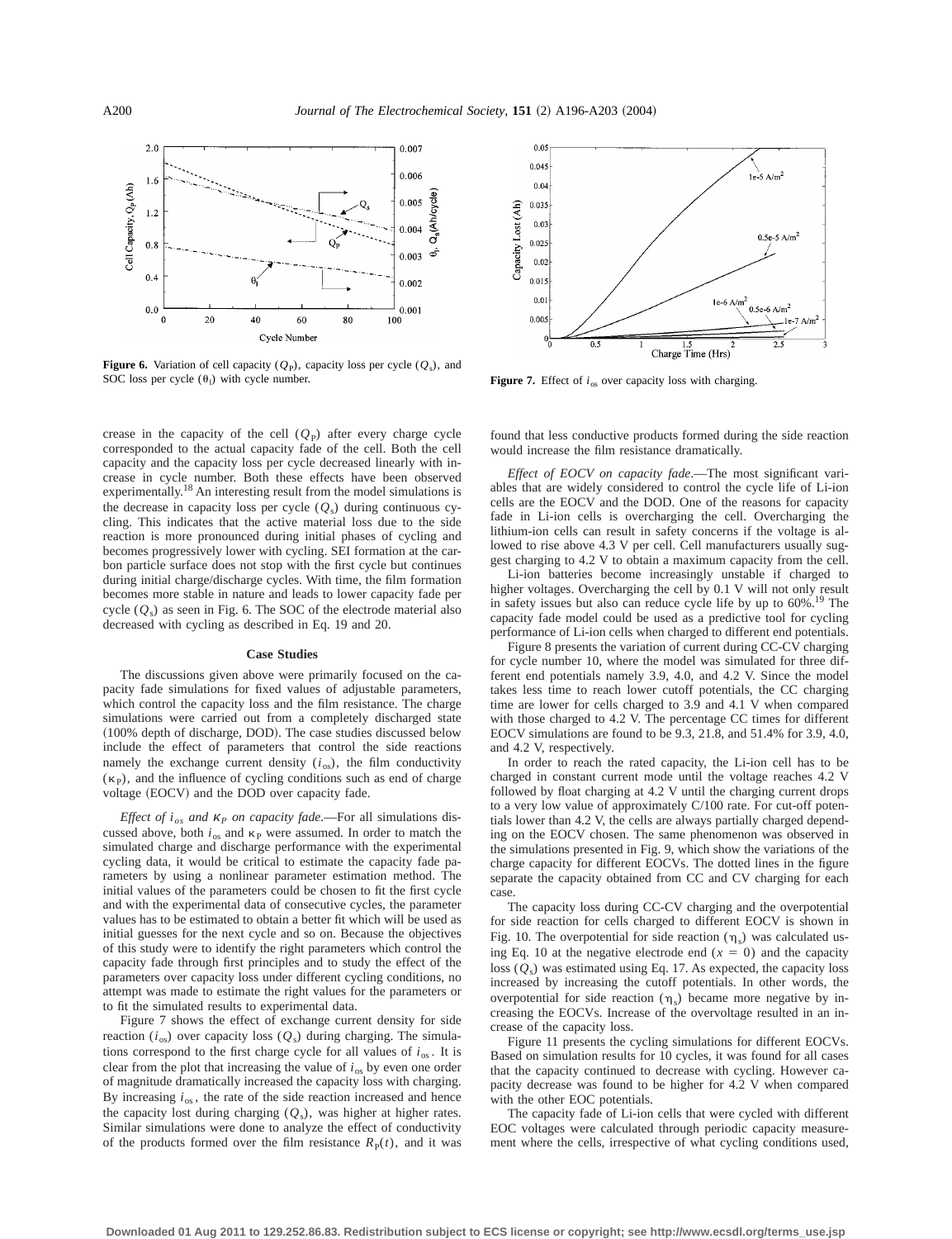

**Figure 6.** Variation of cell capacity ( $Q_P$ ), capacity loss per cycle ( $Q_s$ ), and SOC loss per cycle  $(\theta_1)$  with cycle number.

crease in the capacity of the cell  $(Q_P)$  after every charge cycle corresponded to the actual capacity fade of the cell. Both the cell capacity and the capacity loss per cycle decreased linearly with increase in cycle number. Both these effects have been observed experimentally.18 An interesting result from the model simulations is the decrease in capacity loss per cycle  $(Q_s)$  during continuous cycling. This indicates that the active material loss due to the side reaction is more pronounced during initial phases of cycling and becomes progressively lower with cycling. SEI formation at the carbon particle surface does not stop with the first cycle but continues during initial charge/discharge cycles. With time, the film formation becomes more stable in nature and leads to lower capacity fade per cycle  $(Q_s)$  as seen in Fig. 6. The SOC of the electrode material also decreased with cycling as described in Eq. 19 and 20.

# **Case Studies**

The discussions given above were primarily focused on the capacity fade simulations for fixed values of adjustable parameters, which control the capacity loss and the film resistance. The charge simulations were carried out from a completely discharged state (100% depth of discharge, DOD). The case studies discussed below include the effect of parameters that control the side reactions namely the exchange current density  $(i_{\text{os}})$ , the film conductivity  $(\kappa_{P})$ , and the influence of cycling conditions such as end of charge voltage (EOCV) and the DOD over capacity fade.

*Effect of i<sub>os</sub>* and *κ<sub>P</sub> on capacity fade*.—For all simulations discussed above, both  $i_{\text{os}}$  and  $\kappa_{\text{P}}$  were assumed. In order to match the simulated charge and discharge performance with the experimental cycling data, it would be critical to estimate the capacity fade parameters by using a nonlinear parameter estimation method. The initial values of the parameters could be chosen to fit the first cycle and with the experimental data of consecutive cycles, the parameter values has to be estimated to obtain a better fit which will be used as initial guesses for the next cycle and so on. Because the objectives of this study were to identify the right parameters which control the capacity fade through first principles and to study the effect of the parameters over capacity loss under different cycling conditions, no attempt was made to estimate the right values for the parameters or to fit the simulated results to experimental data.

Figure 7 shows the effect of exchange current density for side reaction ( $i_{\text{os}}$ ) over capacity loss ( $Q_{\text{s}}$ ) during charging. The simulations correspond to the first charge cycle for all values of  $i_{\text{os}}$ . It is clear from the plot that increasing the value of  $i_{\text{os}}$  by even one order of magnitude dramatically increased the capacity loss with charging. By increasing  $i_{\text{os}}$ , the rate of the side reaction increased and hence the capacity lost during charging  $(Q_s)$ , was higher at higher rates. Similar simulations were done to analyze the effect of conductivity of the products formed over the film resistance  $R<sub>P</sub>(t)$ , and it was



**Figure 7.** Effect of  $i_{\text{os}}$  over capacity loss with charging.

found that less conductive products formed during the side reaction would increase the film resistance dramatically.

*Effect of EOCV on capacity fade*.—The most significant variables that are widely considered to control the cycle life of Li-ion cells are the EOCV and the DOD. One of the reasons for capacity fade in Li-ion cells is overcharging the cell. Overcharging the lithium-ion cells can result in safety concerns if the voltage is allowed to rise above 4.3 V per cell. Cell manufacturers usually suggest charging to 4.2 V to obtain a maximum capacity from the cell.

Li-ion batteries become increasingly unstable if charged to higher voltages. Overcharging the cell by 0.1 V will not only result in safety issues but also can reduce cycle life by up to  $60\%$ .<sup>19</sup> The capacity fade model could be used as a predictive tool for cycling performance of Li-ion cells when charged to different end potentials.

Figure 8 presents the variation of current during CC-CV charging for cycle number 10, where the model was simulated for three different end potentials namely 3.9, 4.0, and 4.2 V. Since the model takes less time to reach lower cutoff potentials, the CC charging time are lower for cells charged to 3.9 and 4.1 V when compared with those charged to 4.2 V. The percentage CC times for different EOCV simulations are found to be 9.3, 21.8, and 51.4% for 3.9, 4.0, and 4.2 V, respectively.

In order to reach the rated capacity, the Li-ion cell has to be charged in constant current mode until the voltage reaches 4.2 V followed by float charging at 4.2 V until the charging current drops to a very low value of approximately C/100 rate. For cut-off potentials lower than 4.2 V, the cells are always partially charged depending on the EOCV chosen. The same phenomenon was observed in the simulations presented in Fig. 9, which show the variations of the charge capacity for different EOCVs. The dotted lines in the figure separate the capacity obtained from CC and CV charging for each case.

The capacity loss during CC-CV charging and the overpotential for side reaction for cells charged to different EOCV is shown in Fig. 10. The overpotential for side reaction  $(\eta_s)$  was calculated using Eq. 10 at the negative electrode end  $(x = 0)$  and the capacity loss  $(Q_s)$  was estimated using Eq. 17. As expected, the capacity loss increased by increasing the cutoff potentials. In other words, the overpotential for side reaction  $(\eta_s)$  became more negative by increasing the EOCVs. Increase of the overvoltage resulted in an increase of the capacity loss.

Figure 11 presents the cycling simulations for different EOCVs. Based on simulation results for 10 cycles, it was found for all cases that the capacity continued to decrease with cycling. However capacity decrease was found to be higher for 4.2 V when compared with the other EOC potentials.

The capacity fade of Li-ion cells that were cycled with different EOC voltages were calculated through periodic capacity measurement where the cells, irrespective of what cycling conditions used,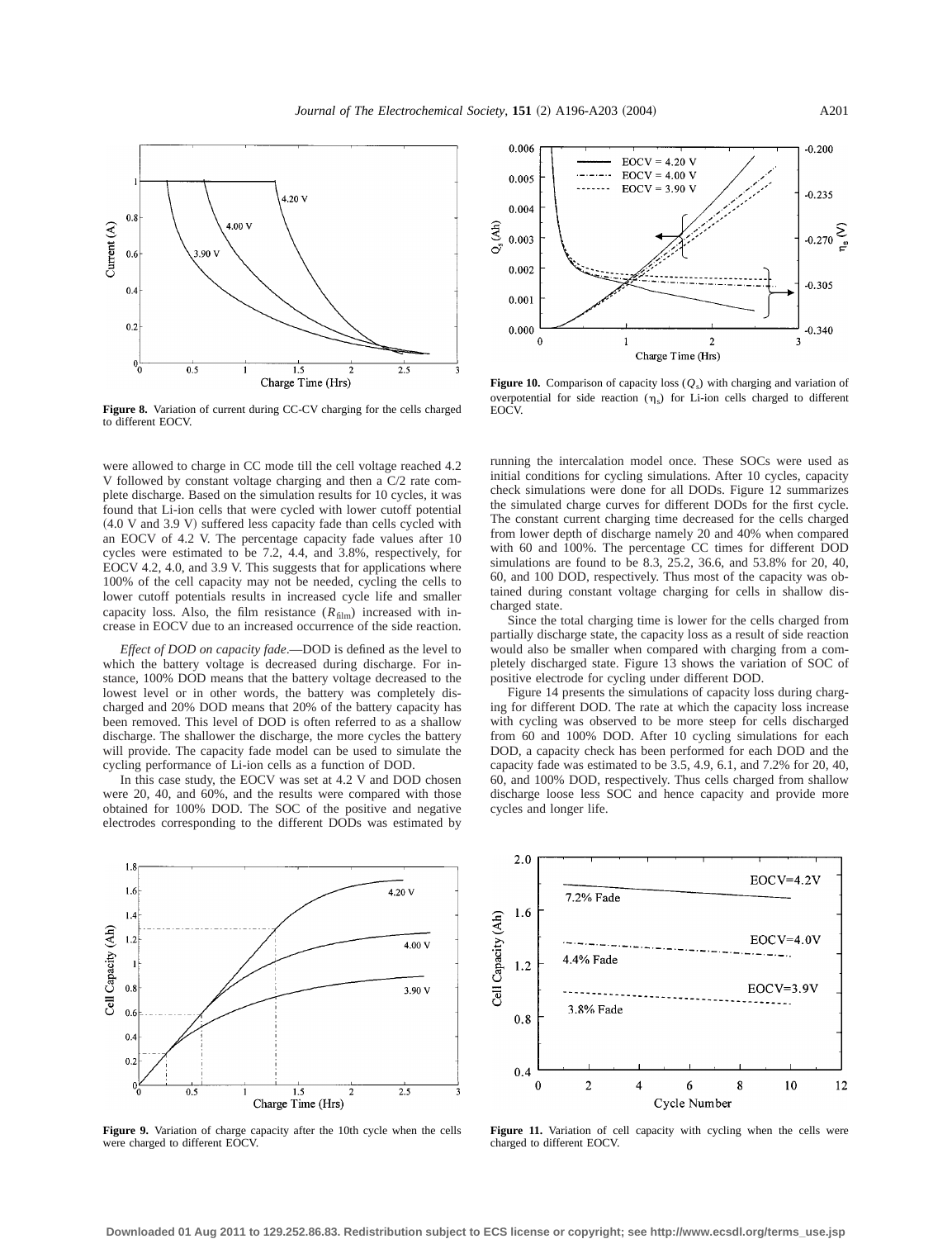

**Figure 8.** Variation of current during CC-CV charging for the cells charged to different EOCV.

were allowed to charge in CC mode till the cell voltage reached 4.2 V followed by constant voltage charging and then a C/2 rate complete discharge. Based on the simulation results for 10 cycles, it was found that Li-ion cells that were cycled with lower cutoff potential  $(4.0 V and 3.9 V)$  suffered less capacity fade than cells cycled with an EOCV of 4.2 V. The percentage capacity fade values after 10 cycles were estimated to be 7.2, 4.4, and 3.8%, respectively, for EOCV 4.2, 4.0, and 3.9 V. This suggests that for applications where 100% of the cell capacity may not be needed, cycling the cells to lower cutoff potentials results in increased cycle life and smaller capacity loss. Also, the film resistance  $(R<sub>film</sub>)$  increased with increase in EOCV due to an increased occurrence of the side reaction.

*Effect of DOD on capacity fade*.—DOD is defined as the level to which the battery voltage is decreased during discharge. For instance, 100% DOD means that the battery voltage decreased to the lowest level or in other words, the battery was completely discharged and 20% DOD means that 20% of the battery capacity has been removed. This level of DOD is often referred to as a shallow discharge. The shallower the discharge, the more cycles the battery will provide. The capacity fade model can be used to simulate the cycling performance of Li-ion cells as a function of DOD.

In this case study, the EOCV was set at 4.2 V and DOD chosen were 20, 40, and 60%, and the results were compared with those obtained for 100% DOD. The SOC of the positive and negative electrodes corresponding to the different DODs was estimated by



**Figure 9.** Variation of charge capacity after the 10th cycle when the cells were charged to different EOCV.



**Figure 10.** Comparison of capacity loss  $(Q_s)$  with charging and variation of overpotential for side reaction  $(\eta_s)$  for Li-ion cells charged to different EOC<sub>V</sub>

running the intercalation model once. These SOCs were used as initial conditions for cycling simulations. After 10 cycles, capacity check simulations were done for all DODs. Figure 12 summarizes the simulated charge curves for different DODs for the first cycle. The constant current charging time decreased for the cells charged from lower depth of discharge namely 20 and 40% when compared with 60 and 100%. The percentage CC times for different DOD simulations are found to be 8.3, 25.2, 36.6, and 53.8% for 20, 40, 60, and 100 DOD, respectively. Thus most of the capacity was obtained during constant voltage charging for cells in shallow discharged state.

Since the total charging time is lower for the cells charged from partially discharge state, the capacity loss as a result of side reaction would also be smaller when compared with charging from a completely discharged state. Figure 13 shows the variation of SOC of positive electrode for cycling under different DOD.

Figure 14 presents the simulations of capacity loss during charging for different DOD. The rate at which the capacity loss increase with cycling was observed to be more steep for cells discharged from 60 and 100% DOD. After 10 cycling simulations for each DOD, a capacity check has been performed for each DOD and the capacity fade was estimated to be 3.5, 4.9, 6.1, and 7.2% for 20, 40, 60, and 100% DOD, respectively. Thus cells charged from shallow discharge loose less SOC and hence capacity and provide more cycles and longer life.



**Figure 11.** Variation of cell capacity with cycling when the cells were charged to different EOCV.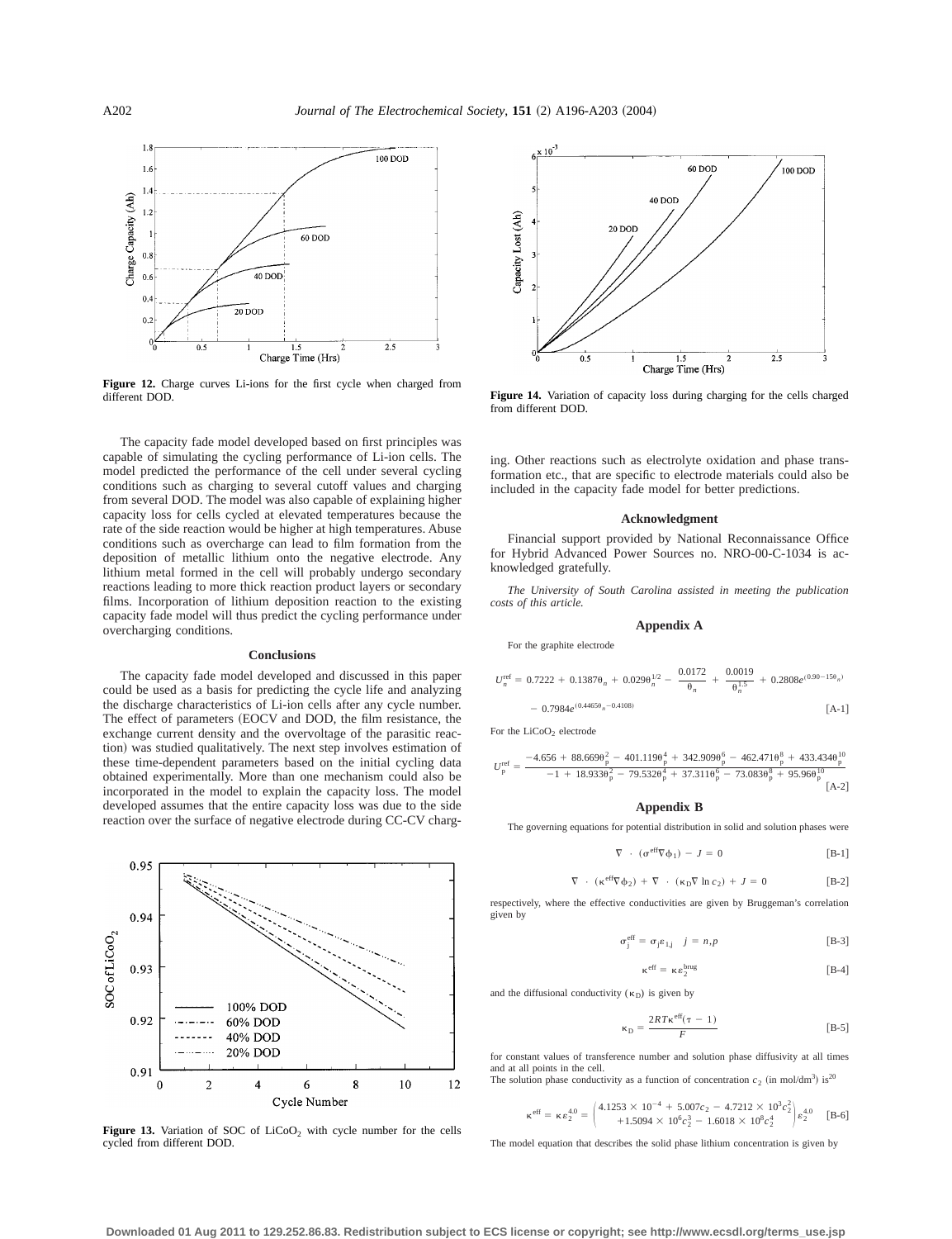

**Figure 12.** Charge curves Li-ions for the first cycle when charged from different DOD.

The capacity fade model developed based on first principles was capable of simulating the cycling performance of Li-ion cells. The model predicted the performance of the cell under several cycling conditions such as charging to several cutoff values and charging from several DOD. The model was also capable of explaining higher capacity loss for cells cycled at elevated temperatures because the rate of the side reaction would be higher at high temperatures. Abuse conditions such as overcharge can lead to film formation from the deposition of metallic lithium onto the negative electrode. Any lithium metal formed in the cell will probably undergo secondary reactions leading to more thick reaction product layers or secondary films. Incorporation of lithium deposition reaction to the existing capacity fade model will thus predict the cycling performance under overcharging conditions.

#### **Conclusions**

The capacity fade model developed and discussed in this paper could be used as a basis for predicting the cycle life and analyzing the discharge characteristics of Li-ion cells after any cycle number. The effect of parameters (EOCV and DOD, the film resistance, the exchange current density and the overvoltage of the parasitic reaction) was studied qualitatively. The next step involves estimation of these time-dependent parameters based on the initial cycling data obtained experimentally. More than one mechanism could also be incorporated in the model to explain the capacity loss. The model developed assumes that the entire capacity loss was due to the side reaction over the surface of negative electrode during CC-CV charg-



**Figure 13.** Variation of SOC of  $LiCoO<sub>2</sub>$  with cycle number for the cells cycled from different DOD.



**Figure 14.** Variation of capacity loss during charging for the cells charged from different DOD.

ing. Other reactions such as electrolyte oxidation and phase transformation etc., that are specific to electrode materials could also be included in the capacity fade model for better predictions.

#### **Acknowledgment**

Financial support provided by National Reconnaissance Office for Hybrid Advanced Power Sources no. NRO-00-C-1034 is acknowledged gratefully.

*The University of South Carolina assisted in meeting the publication costs of this article.*

# **Appendix A**

For the graphite electrode

$$
U_n^{\text{ref}} = 0.7222 + 0.1387\theta_n + 0.029\theta_n^{1/2} - \frac{0.0172}{\theta_n} + \frac{0.0019}{\theta_n^{1.5}} + 0.2808e^{(0.90 - 15\theta_n)}
$$

$$
- 0.7984e^{(0.4465\theta_n - 0.4108)}
$$
 [A-1]

For the LiCoO<sub>2</sub> electrode

$$
U_{p}^{\text{ref}} = \frac{-4.656 + 88.669\frac{9}{p} - 401.119\frac{4}{p} + 342.909\frac{6}{p} - 462.471\frac{8}{p} + 433.434\frac{1}{p}}{-1 + 18.933\frac{9}{p} - 79.532\frac{4}{p} + 37.311\frac{6}{p} - 73.083\frac{8}{p} + 95.96\frac{1}{p}^0} \frac{1}{\left[A - 2\right]}
$$

# **Appendix B**

The governing equations for potential distribution in solid and solution phases were

$$
\nabla \cdot (\sigma^{\text{eff}} \nabla \phi_1) - J = 0 \tag{B-1}
$$

$$
\nabla \cdot (\kappa^{\text{eff}} \nabla \phi_2) + \nabla \cdot (\kappa_D \nabla \ln c_2) + J = 0
$$
 [B-2]

respectively, where the effective conductivities are given by Bruggeman's correlation given by

$$
\sigma_j^{\text{eff}} = \sigma_j \varepsilon_{1,j} \quad j = n, p \tag{B-3}
$$

$$
\kappa^{\text{eff}} = \kappa \epsilon_2^{\text{brug}} \tag{B-4}
$$

and the diffusional conductivity ( $\kappa_D$ ) is given by

$$
\kappa_{\rm D} = \frac{2RT\kappa^{\rm eff}(\tau - 1)}{F}
$$
 [B-5]

for constant values of transference number and solution phase diffusivity at all times and at all points in the cell. The solution phase conductivity as a function of concentration  $c_2$  (in mol/dm<sup>3</sup>) is<sup>20</sup>

$$
\kappa^{\text{eff}} = \kappa \epsilon_2^{4.0} = \begin{pmatrix} 4.1253 \times 10^{-4} + 5.007c_2 - 4.7212 \times 10^3 c_2^2 \\ +1.5094 \times 10^6 c_2^3 - 1.6018 \times 10^8 c_2^4 \end{pmatrix} \epsilon_2^{4.0} \quad \text{[B-6]}
$$

The model equation that describes the solid phase lithium concentration is given by